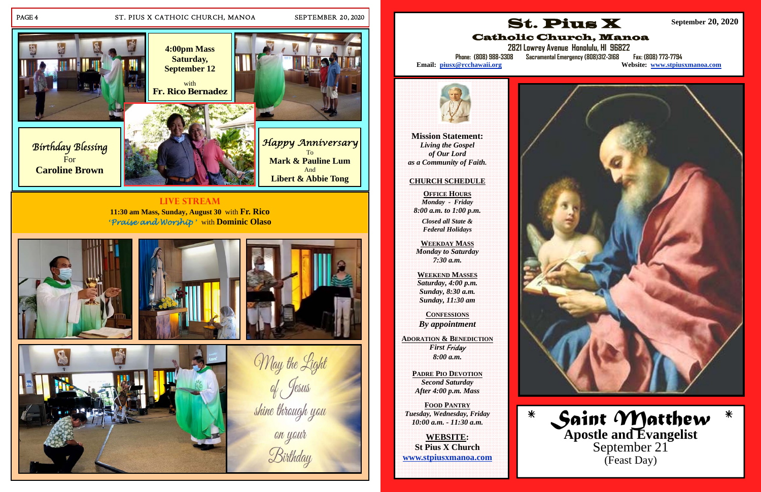

## PAGE 4 ST. PIUS X CATHOIC CHURCH, MANOA SEPTEMBER 20, 2020

**'***Praise and Worship* **'** with **Dominic Olaso**







May the Light<br>of Jesus

shine through you

Birthday





**Mission Statement:**  *Living the Gospel of Our Lord as a Community of Faith.* 

## **CHURCH SCHEDULE**

**OFFICE HOURS** *Monday - Friday 8:00 a.m. to 1:00 p.m.* 

**2821 Lowrey Avenue Honolulu, HI 96822 Phone: (808) 988-3308 Sacramental Emergency (808)312-3168 Fax: (808) 773-7794 Website: www.stpiusxmanoa.com** 



*Closed all State & Federal Holidays* 

**WEEKDAY MASS**  *Monday to Saturday 7:30 a.m.* 

**WEEKEND MASSES**  *Saturday, 4:00 p.m. Sunday, 8:30 a.m. Sunday, 11:30 am* 

**CONFESSIONS** *By appointment* 

**ADORATION & BENEDICTION***First* Friday *8:00 a.m.* 

> **PADRE PIO DEVOTION***Second Saturday After 4:00 p.m. Mass*

**FOOD PANTRY** *Tuesday, Wednesday, Friday 10:00 a.m. - 11:30 a.m.* 

**WEBSITE: St Pius X Church www.stpiusxmanoa.com** 







Email: piusx@rcchawaii.org



**September 20, 2020** 

*\* Saint Matthew \** **Apostle and Evangelist**  September 21 (Feast Day)